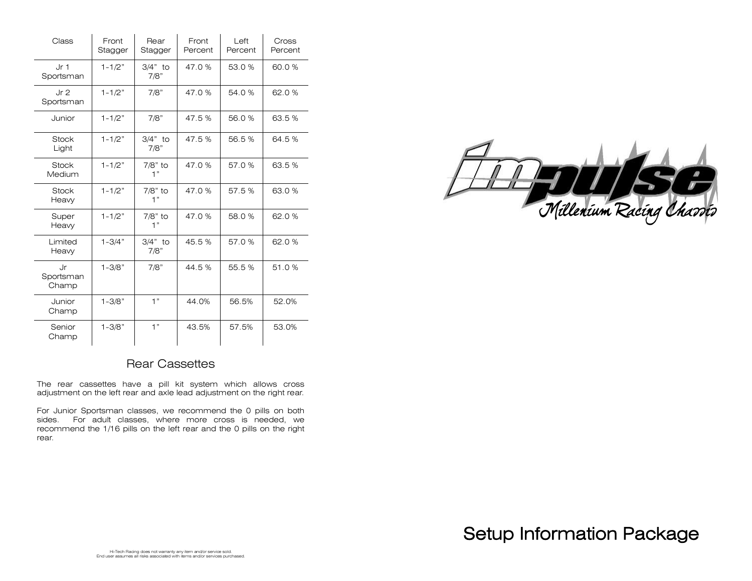| Class                        | Front<br>Stagger | Rear<br>Stagger   | Front<br>Percent | Left<br>Percent | Cross<br>Percent |
|------------------------------|------------------|-------------------|------------------|-----------------|------------------|
| Jr <sub>1</sub><br>Sportsman | $1 - 1/2"$       | $3/4"$ to<br>7/8" | 47.0%            | 53.0%           | 60.0%            |
| Jr <sub>2</sub><br>Sportsman | $1 - 1/2"$       | 7/8"              | 47.0%            | 54.0%           | 62.0%            |
| Junior                       | $1 - 1/2"$       | 7/8"              | 47.5%            | 56.0%           | 63.5%            |
| <b>Stock</b><br>Light        | $1 - 1/2"$       | $3/4"$ to<br>7/8" | 47.5%            | 56.5%           | 64.5%            |
| <b>Stock</b><br>Medium       | $1 - 1/2"$       | 7/8" to<br>1"     | 47.0%            | 57.0%           | 63.5%            |
| <b>Stock</b><br>Heavy        | $1 - 1/2"$       | 7/8" to<br>1"     | 47.0%            | 57.5%           | 63.0%            |
| Super<br>Heavy               | $1 - 1/2"$       | 7/8" to<br>1"     | 47.0%            | 58.0%           | 62.0%            |
| Limited<br>Heavy             | $1 - 3/4"$       | $3/4"$ to<br>7/8" | 45.5%            | 57.0%           | 62.0%            |
| Jr<br>Sportsman<br>Champ     | $1 - 3/8"$       | 7/8"              | 44.5%            | 55.5%           | 51.0%            |
| Junior<br>Champ              | $1 - 3/8"$       | 1"                | 44.0%            | 56.5%           | 52.0%            |
| Senior<br>Champ              | $1 - 3/8"$       | 1"                | 43.5%            | 57.5%           | 53.0%            |



### Rear Cassettes

The rear cassettes have a pill kit system which allows cross adjustment on the left rear and axle lead adjustment on the right rear.

For Junior Sportsman classes, we recommend the 0 pills on both sides. For adult classes, where more cross is needed, we recommend the 1/16 pills on the left rear and the 0 pills on the right rear.

Setup Information Package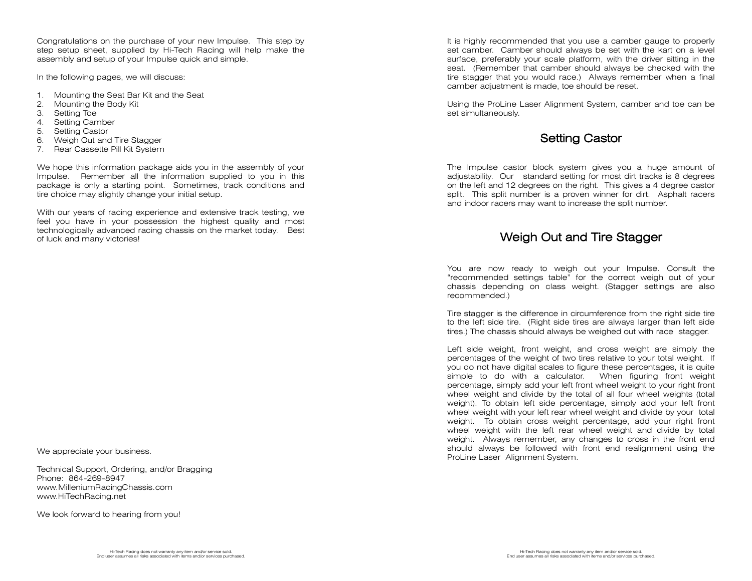Congratulations on the purchase of your new Impulse. This step by step setup sheet, supplied by Hi-Tech Racing will help make the assembly and setup of your Impulse quick and simple.

In the following pages, we will discuss:

- 1. Mounting the Seat Bar Kit and the Seat
- 2. Mounting the Body Kit
- 3. Setting Toe
- 4. Setting Camber
- 5. Setting Castor
- 6. Weigh Out and Tire Stagger
- 7. Rear Cassette Pill Kit System

We hope this information package aids you in the assembly of your Impulse. Remember all the information supplied to you in this package is only a starting point. Sometimes, track conditions and tire choice may slightly change your initial setup.

With our years of racing experience and extensive track testing, we feel you have in your possession the highest quality and most technologically advanced racing chassis on the market today. Best of luck and many victories!

We appreciate your business.

Technical Support, Ordering, and/or Bragging Phone: 864-269-8947 www.MilleniumRacingChassis.com www.HiTechRacing.net

We look forward to hearing from you!

It is highly recommended that you use a camber gauge to properly set camber. Camber should always be set with the kart on a level surface, preferably your scale platform, with the driver sitting in the seat. (Remember that camber should always be checked with the tire stagger that you would race.) Always remember when a final camber adjustment is made, toe should be reset.

Using the ProLine Laser Alignment System, camber and toe can be set simultaneously.

## Setting Castor

The Impulse castor block system gives you a huge amount of adjustability. Our standard setting for most dirt tracks is 8 degrees on the left and 12 degrees on the right. This gives a 4 degree castor split. This split number is a proven winner for dirt. Asphalt racers and indoor racers may want to increase the split number.

### Weigh Out and Tire Stagger

You are now ready to weigh out your Impulse. Consult the "recommended settings table" for the correct weigh out of your chassis depending on class weight. (Stagger settings are also recommended.)

Tire stagger is the difference in circumference from the right side tire to the left side tire. (Right side tires are always larger than left side tires.) The chassis should always be weighed out with race stagger.

Left side weight, front weight, and cross weight are simply the percentages of the weight of two tires relative to your total weight. If you do not have digital scales to figure these percentages, it is quite simple to do with a calculator. When figuring front weight percentage, simply add your left front wheel weight to your right front wheel weight and divide by the total of all four wheel weights (total weight). To obtain left side percentage, simply add your left front wheel weight with your left rear wheel weight and divide by your total weight. To obtain cross weight percentage, add your right front wheel weight with the left rear wheel weight and divide by total weight. Always remember, any changes to cross in the front end should always be followed with front end realignment using the ProLine Laser Alignment System.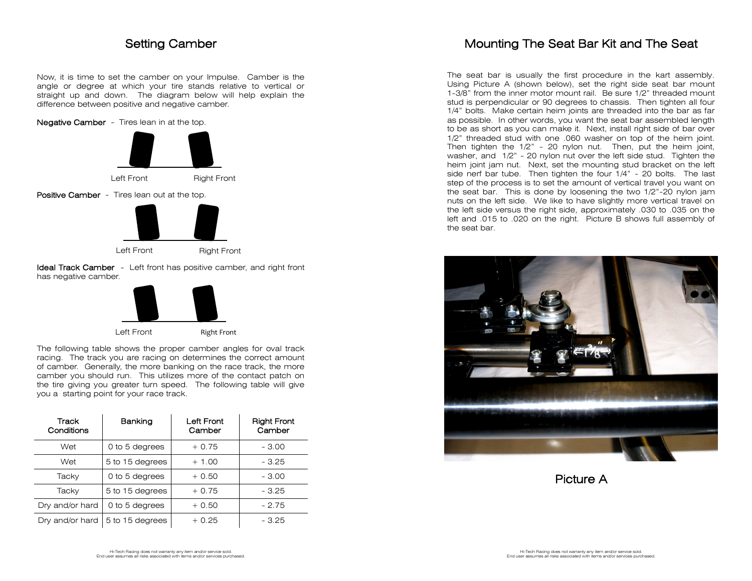### Setting Camber

Now, it is time to set the camber on your Impulse. Camber is the angle or degree at which your tire stands relative to vertical or straight up and down. The diagram below will help explain the difference between positive and negative camber.

#### Negative Camber - Tires lean in at the top.





The following table shows the proper camber angles for oval track racing. The track you are racing on determines the correct amount of camber. Generally, the more banking on the race track, the more camber you should run. This utilizes more of the contact patch on the tire giving you greater turn speed. The following table will give you a starting point for your race track.

| Track<br>Conditions | Banking         | Left Front<br>Camber | <b>Right Front</b><br>Camber |
|---------------------|-----------------|----------------------|------------------------------|
| Wet                 | 0 to 5 degrees  | $+0.75$              | $-3.00$                      |
| Wet                 | 5 to 15 degrees | $+1.00$              | $-3.25$                      |
| Tacky               | 0 to 5 degrees  | $+0.50$              | $-3.00$                      |
| Tacky               | 5 to 15 degrees | $+0.75$              | $-3.25$                      |
| Dry and/or hard     | 0 to 5 degrees  | $+0.50$              | $-2.75$                      |
| Dry and/or hard     | 5 to 15 degrees | $+0.25$              | - 3.25                       |

# Mounting The Seat Bar Kit and The Seat

The seat bar is usually the first procedure in the kart assembly. Using Picture A (shown below), set the right side seat bar mount 1-3/8" from the inner motor mount rail. Be sure 1/2" threaded mount stud is perpendicular or 90 degrees to chassis. Then tighten all four 1/4" bolts. Make certain heim joints are threaded into the bar as far as possible. In other words, you want the seat bar assembled length to be as short as you can make it. Next, install right side of bar over 1/2" threaded stud with one .060 washer on top of the heim joint. Then tighten the 1/2" - 20 nylon nut. Then, put the heim joint, washer, and 1/2" - 20 nylon nut over the left side stud. Tighten the heim joint jam nut. Next, set the mounting stud bracket on the left side nerf bar tube. Then tighten the four 1/4" - 20 bolts. The last step of the process is to set the amount of vertical travel you want on the seat bar. This is done by loosening the two 1/2"-20 nylon jam nuts on the left side. We like to have slightly more vertical travel on the left side versus the right side, approximately .030 to .035 on the left and .015 to .020 on the right. Picture B shows full assembly of the seat bar.